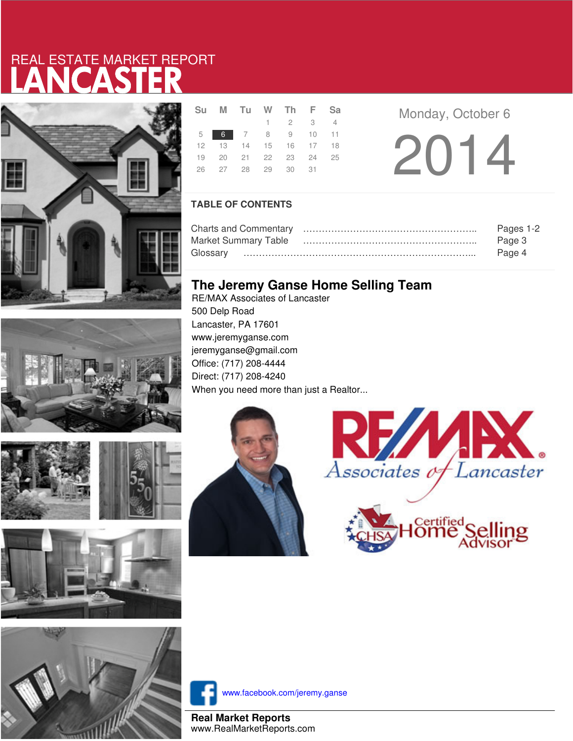# LANCASTER REAL ESTATE MARKET REPORT











|  | Su M Tu W Th F Sa          |                 |  |
|--|----------------------------|-----------------|--|
|  |                            | $1 \t2 \t3 \t4$ |  |
|  | 5 6 7 8 9 10 11            |                 |  |
|  | 12  13  14  15  16  17  18 |                 |  |
|  | 19 20 21 22 23 24 25       |                 |  |
|  | 26 27 28 29 30 31          |                 |  |
|  |                            |                 |  |

**Monday, October 6** 

2014

### **TABLE OF CONTENTS**

|                      | Pages 1-2 |
|----------------------|-----------|
| Market Summary Table | Page 3    |
|                      | Page 4    |

## **The Jeremy Ganse Home Selling Team**

RE/MAX Associates of Lancaster 500 Delp Road Lancaster, PA 17601 www.jeremyganse.com jeremyganse@gmail.com Office: (717) 208-4444 Direct: (717) 208-4240 When you need more than just a Realtor...







www.facebook.com/jeremy.ganse

**Real Market Reports** www.RealMarketReports.com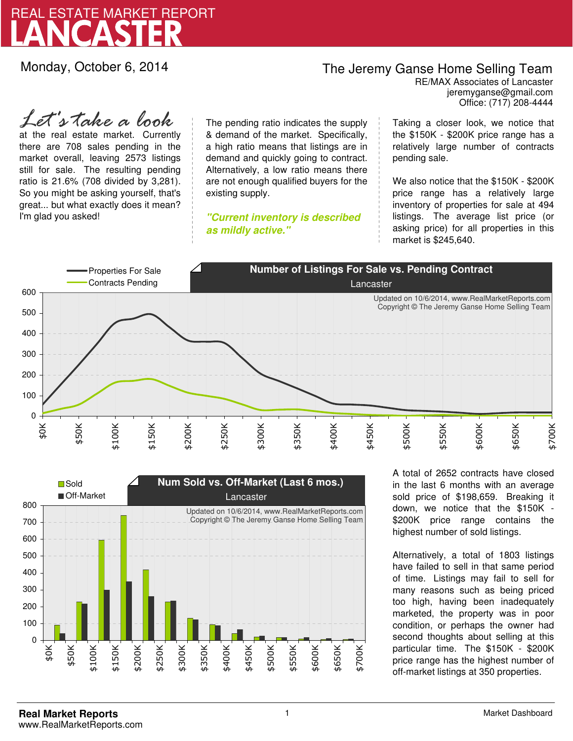

Monday, October 6, 2014

# The Jeremy Ganse Home Selling Team

jeremyganse@gmail.com RE/MAX Associates of Lancaster Office: (717) 208-4444

at the real estate market. Currently there are 708 sales pending in the market overall, leaving 2573 listings still for sale. The resulting pending ratio is 21.6% (708 divided by 3,281). So you might be asking yourself, that's great... but what exactly does it mean? I'm glad you asked! *Let's take a look*

The pending ratio indicates the supply & demand of the market. Specifically, a high ratio means that listings are in demand and quickly going to contract. Alternatively, a low ratio means there are not enough qualified buyers for the existing supply.

**"Current inventory is described as mildly active."**

Taking a closer look, we notice that the \$150K - \$200K price range has a relatively large number of contracts pending sale.

We also notice that the \$150K - \$200K price range has a relatively large inventory of properties for sale at 494 listings. The average list price (or asking price) for all properties in this market is \$245,640.





A total of 2652 contracts have closed in the last 6 months with an average sold price of \$198,659. Breaking it down, we notice that the \$150K - \$200K price range contains the highest number of sold listings.

Alternatively, a total of 1803 listings have failed to sell in that same period of time. Listings may fail to sell for many reasons such as being priced too high, having been inadequately marketed, the property was in poor condition, or perhaps the owner had second thoughts about selling at this particular time. The \$150K - \$200K price range has the highest number of off-market listings at 350 properties.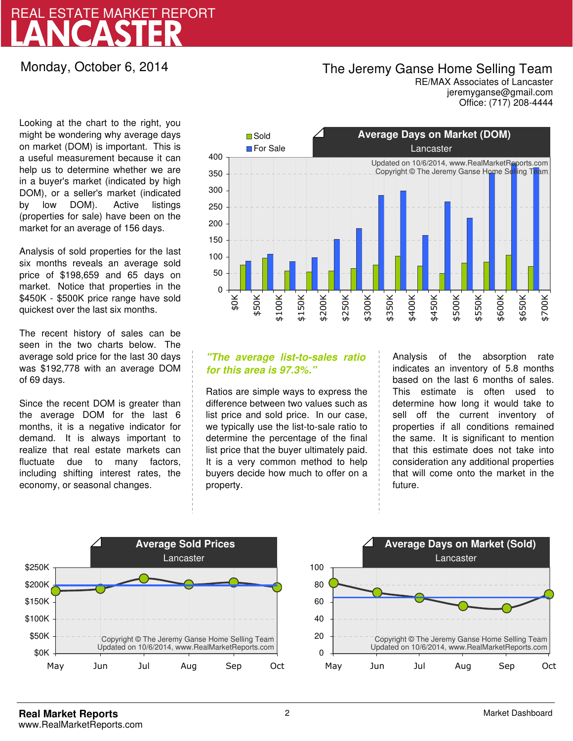# LANCASTER REAL ESTATE MARKET REPORT

## Monday, October 6, 2014

# The Jeremy Ganse Home Selling Team

jeremyganse@gmail.com RE/MAX Associates of Lancaster Office: (717) 208-4444

Looking at the chart to the right, you might be wondering why average days on market (DOM) is important. This is a useful measurement because it can help us to determine whether we are in a buyer's market (indicated by high DOM), or a seller's market (indicated by low DOM). Active listings (properties for sale) have been on the market for an average of 156 days.

Analysis of sold properties for the last six months reveals an average sold price of \$198,659 and 65 days on market. Notice that properties in the \$450K - \$500K price range have sold quickest over the last six months.

The recent history of sales can be seen in the two charts below. The average sold price for the last 30 days was \$192,778 with an average DOM of 69 days.

Since the recent DOM is greater than the average DOM for the last 6 months, it is a negative indicator for demand. It is always important to realize that real estate markets can fluctuate due to many factors, including shifting interest rates, the economy, or seasonal changes.



### **"The average list-to-sales ratio for this area is 97.3%."**

Ratios are simple ways to express the difference between two values such as list price and sold price. In our case, we typically use the list-to-sale ratio to determine the percentage of the final list price that the buyer ultimately paid. It is a very common method to help buyers decide how much to offer on a property.

Analysis of the absorption rate indicates an inventory of 5.8 months based on the last 6 months of sales. This estimate is often used to determine how long it would take to sell off the current inventory of properties if all conditions remained the same. It is significant to mention that this estimate does not take into consideration any additional properties that will come onto the market in the future.



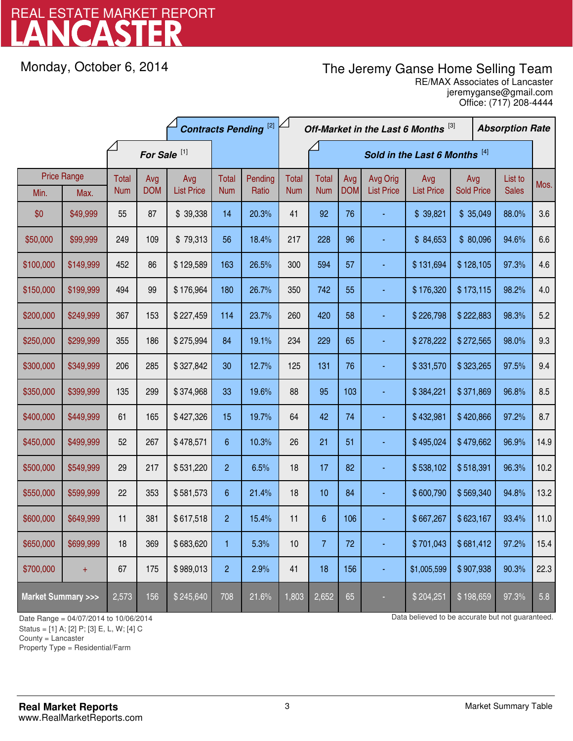# LANCASTER REAL ESTATE MARKET REPORT

Monday, October 6, 2014

# The Jeremy Ganse Home Selling Team

jeremyganse@gmail.com RE/MAX Associates of Lancaster Office: (717) 208-4444

|                                    |                            | <b>Contracts Pending [2]</b> |                   |                          |                               | Off-Market in the Last 6 Months [3] |                            |                            |                   | <b>Absorption Rate</b>        |                          |                          |  |                         |      |
|------------------------------------|----------------------------|------------------------------|-------------------|--------------------------|-------------------------------|-------------------------------------|----------------------------|----------------------------|-------------------|-------------------------------|--------------------------|--------------------------|--|-------------------------|------|
|                                    |                            | For Sale <sup>[1]</sup>      |                   |                          | Sold in the Last 6 Months [4] |                                     |                            |                            |                   |                               |                          |                          |  |                         |      |
| Min.                               | <b>Price Range</b><br>Max. | <b>Total</b><br><b>Num</b>   | Avg<br><b>DOM</b> | Avg<br><b>List Price</b> | Total<br><b>Num</b>           | Pending<br>Ratio                    | <b>Total</b><br><b>Num</b> | <b>Total</b><br><b>Num</b> | Avg<br><b>DOM</b> | Avg Orig<br><b>List Price</b> | Avg<br><b>List Price</b> | Avg<br><b>Sold Price</b> |  | List to<br><b>Sales</b> | Mos. |
| \$0                                | \$49,999                   | 55                           | 87                | \$39,338                 | 14                            | 20.3%                               | 41                         | 92                         | 76                |                               | \$39,821                 | \$35,049                 |  | 88.0%                   | 3.6  |
| \$50,000                           | \$99,999                   | 249                          | 109               | \$79,313                 | 56                            | 18.4%                               | 217                        | 228                        | 96                |                               | \$84,653                 | \$80,096                 |  | 94.6%                   | 6.6  |
| \$100,000                          | \$149,999                  | 452                          | 86                | \$129,589                | 163                           | 26.5%                               | 300                        | 594                        | 57                |                               | \$131,694                | \$128,105                |  | 97.3%                   | 4.6  |
| \$150,000                          | \$199,999                  | 494                          | 99                | \$176,964                | 180                           | 26.7%                               | 350                        | 742                        | 55                |                               | \$176,320                | \$173,115                |  | 98.2%                   | 4.0  |
| \$200,000                          | \$249,999                  | 367                          | 153               | \$227,459                | 114                           | 23.7%                               | 260                        | 420                        | 58                |                               | \$226,798                | \$222,883                |  | 98.3%                   | 5.2  |
| \$250,000                          | \$299,999                  | 355                          | 186               | \$275,994                | 84                            | 19.1%                               | 234                        | 229                        | 65                |                               | \$278,222                | \$272,565                |  | 98.0%                   | 9.3  |
| \$300,000                          | \$349,999                  | 206                          | 285               | \$327,842                | 30                            | 12.7%                               | 125                        | 131                        | 76                |                               | \$331,570                | \$323,265                |  | 97.5%                   | 9.4  |
| \$350,000                          | \$399,999                  | 135                          | 299               | \$374,968                | 33                            | 19.6%                               | 88                         | 95                         | 103               |                               | \$384,221                | \$371,869                |  | 96.8%                   | 8.5  |
| \$400,000                          | \$449,999                  | 61                           | 165               | \$427,326                | 15                            | 19.7%                               | 64                         | 42                         | 74                |                               | \$432,981                | \$420,866                |  | 97.2%                   | 8.7  |
| \$450,000                          | \$499,999                  | 52                           | 267               | \$478,571                | 6                             | 10.3%                               | 26                         | 21                         | 51                |                               | \$495,024                | \$479,662                |  | 96.9%                   | 14.9 |
| \$500,000                          | \$549,999                  | 29                           | 217               | \$531,220                | $\overline{2}$                | 6.5%                                | 18                         | 17                         | 82                |                               | \$538,102                | \$518,391                |  | 96.3%                   | 10.2 |
| \$550,000                          | \$599,999                  | 22                           | 353               | \$581,573                | 6                             | 21.4%                               | 18                         | 10                         | 84                |                               | \$600,790                | \$569,340                |  | 94.8%                   | 13.2 |
| \$600,000                          | \$649,999                  | 11                           | 381               | \$617,518                | $\overline{2}$                | 15.4%                               | 11                         | $\boldsymbol{6}$           | 106               |                               | \$667,267                | \$623,167                |  | 93.4%                   | 11.0 |
| \$650,000                          | \$699,999                  | 18                           | 369               | \$683,620                | 1                             | 5.3%                                | 10                         | 7                          | 72                |                               | \$701,043                | \$681,412                |  | 97.2%                   | 15.4 |
| \$700,000                          | $\pm$                      | 67                           | 175               | \$989,013                | $\overline{c}$                | 2.9%                                | 41                         | 18                         | 156               |                               | \$1,005,599              | \$907,938                |  | 90.3%                   | 22.3 |
| <b>Market Summary &gt;&gt;&gt;</b> |                            | 2,573                        | 156               | \$245,640                | 708                           | 21.6%                               | 1,803                      | 2,652                      | 65                |                               | \$204,251                | \$198,659                |  | 97.3%                   | 5.8  |

Status = [1] A; [2] P; [3] E, L, W; [4] C

County = Lancaster

1

Property Type = Residential/Farm

Date Range = 04/07/2014 to 10/06/2014 control 1000 and the material control of Data believed to be accurate but not guaranteed.